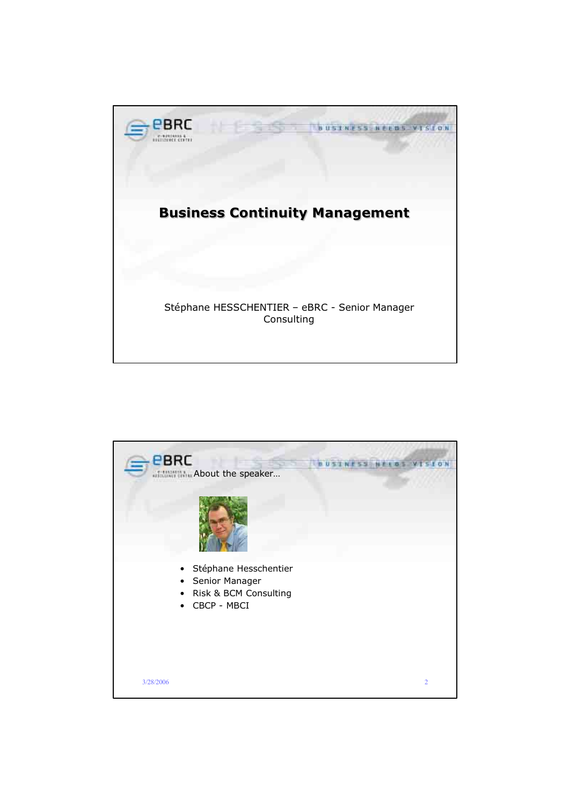

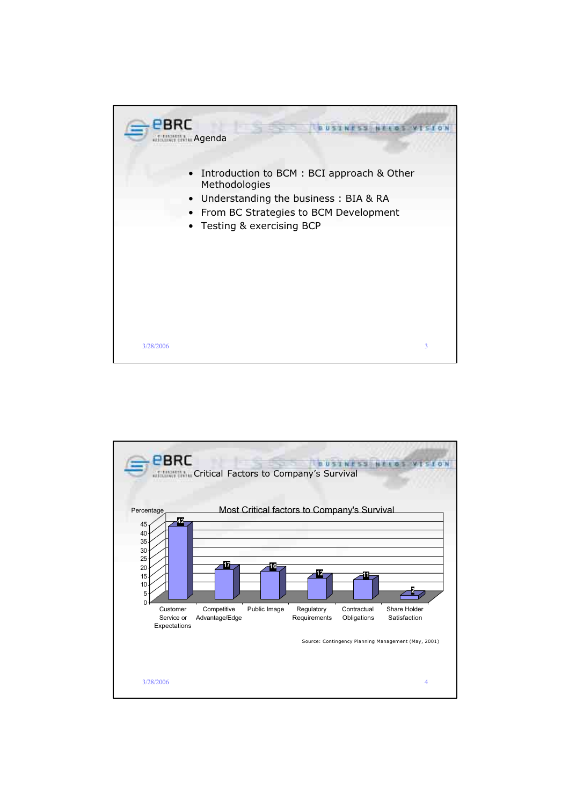

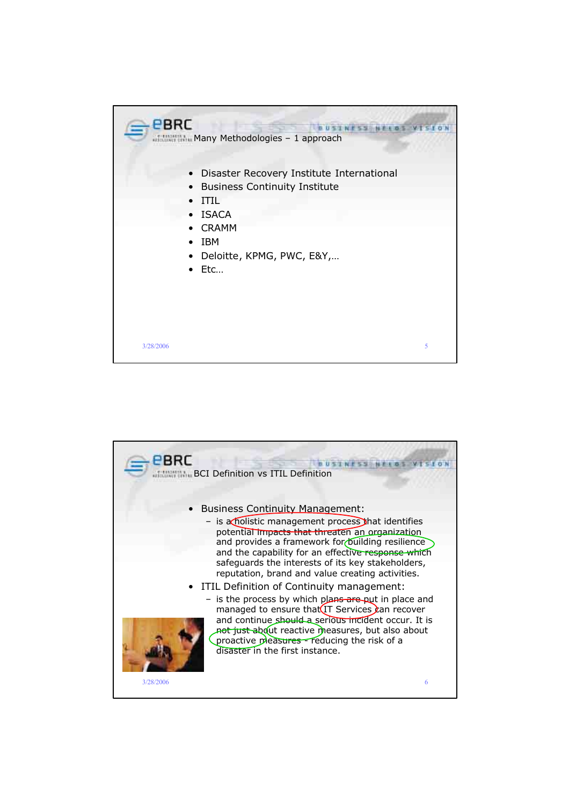

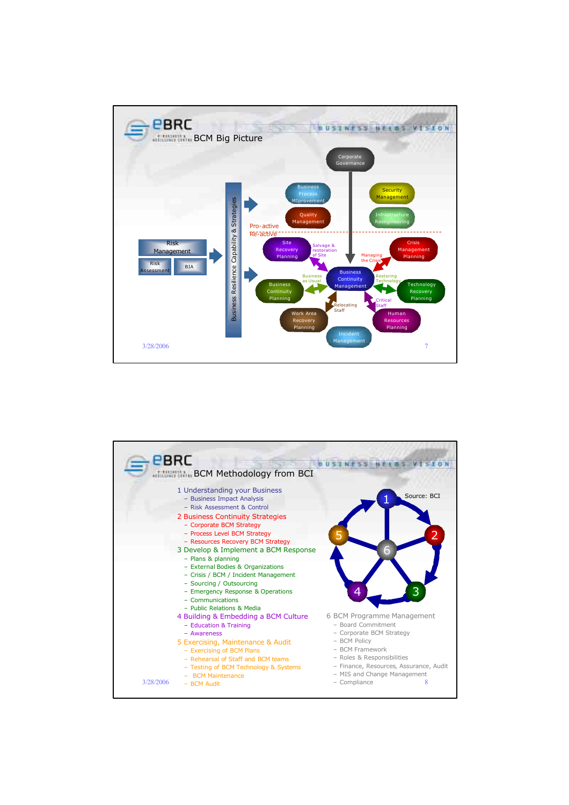

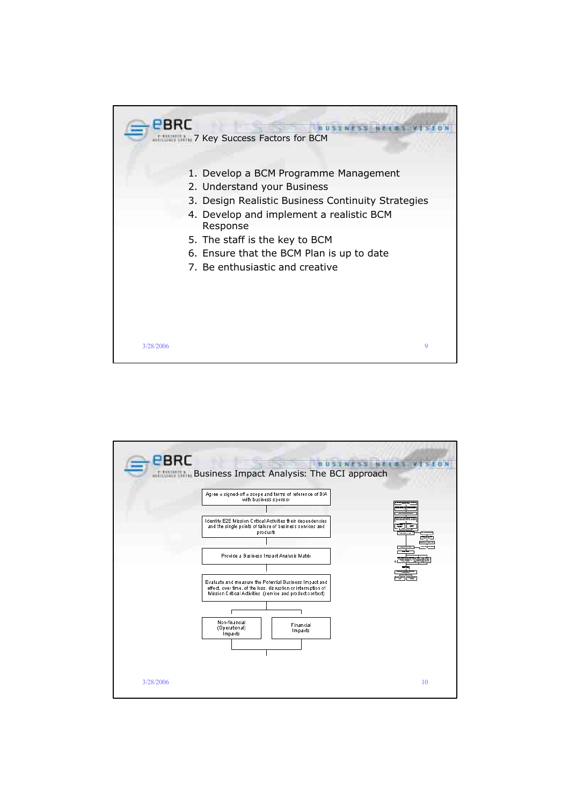

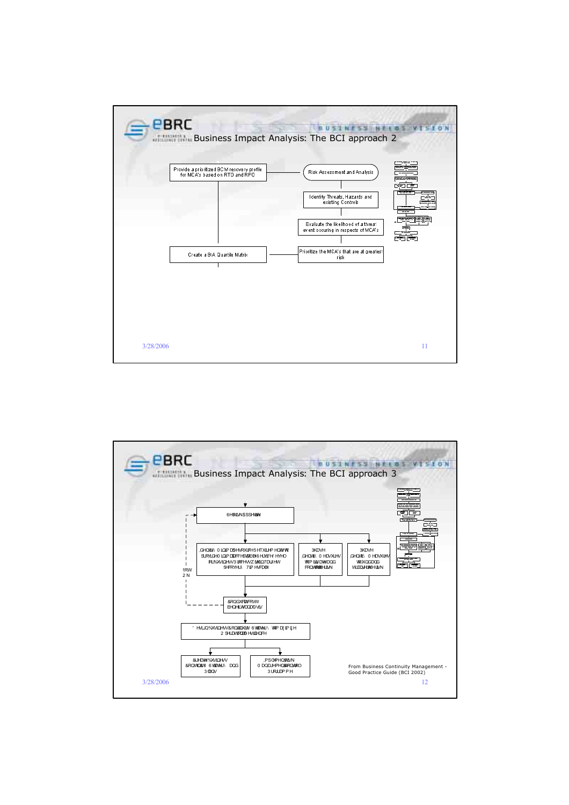

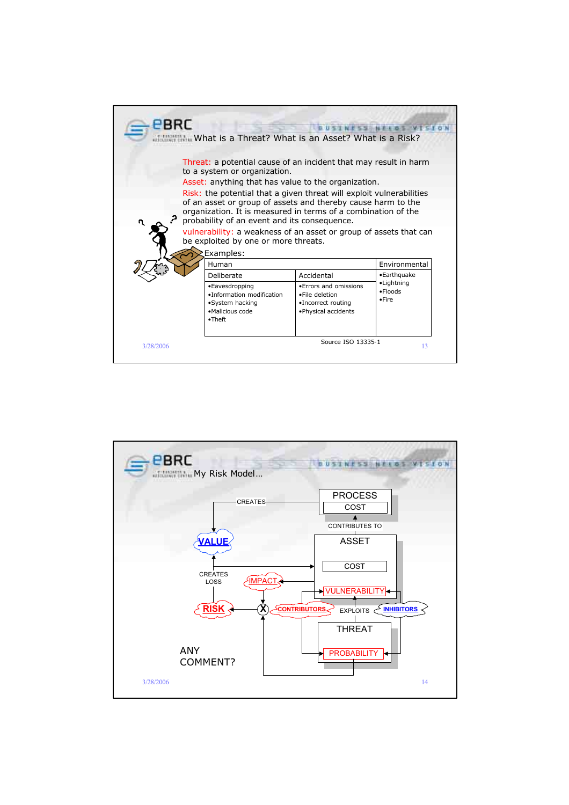

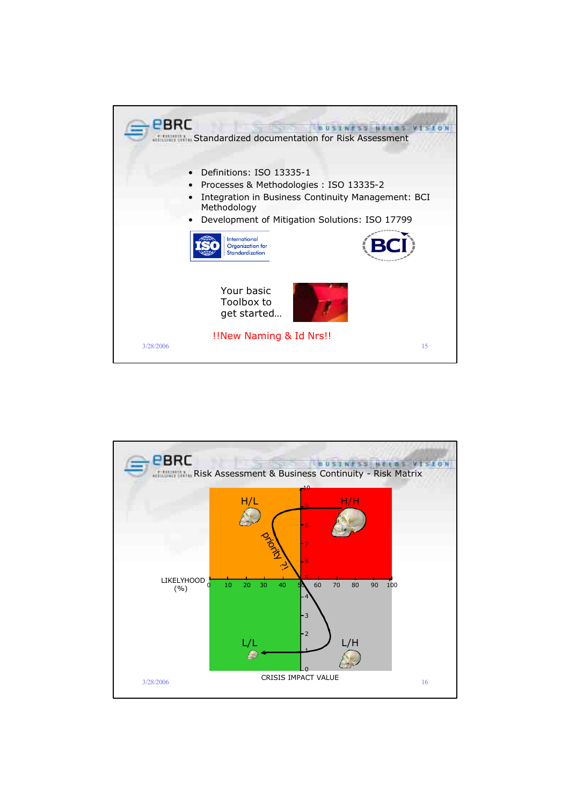

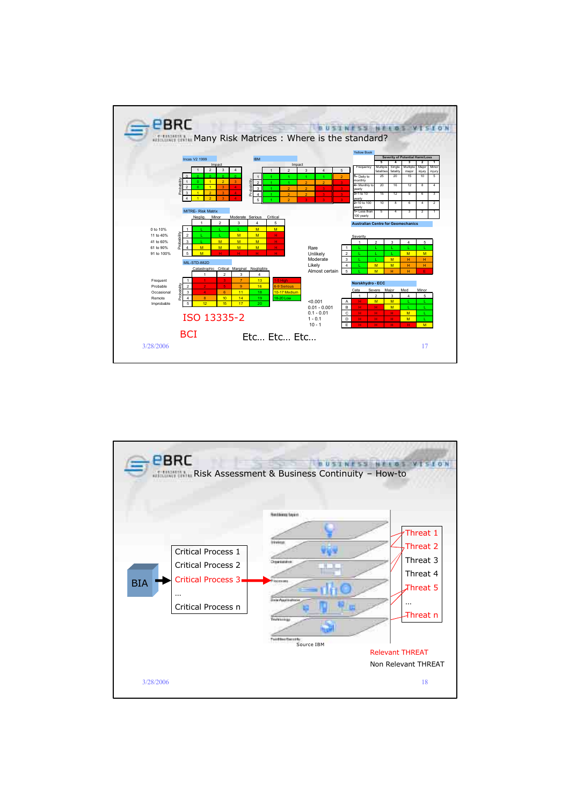

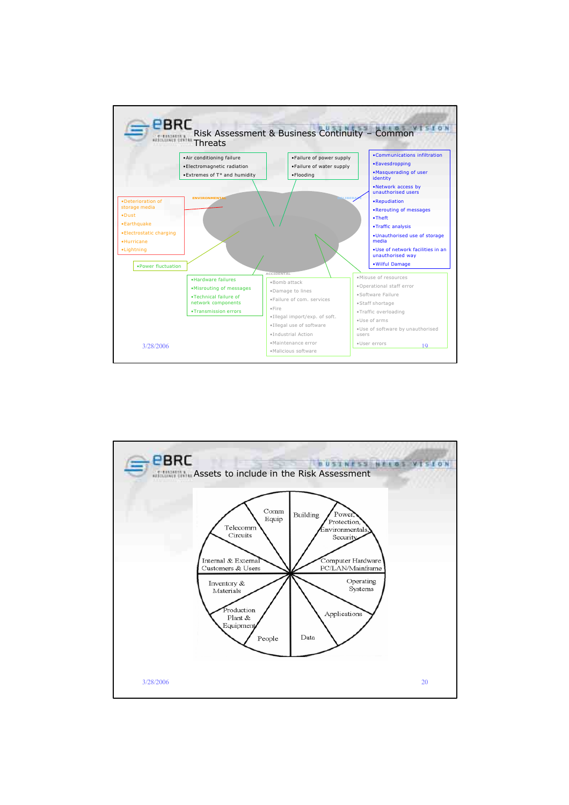

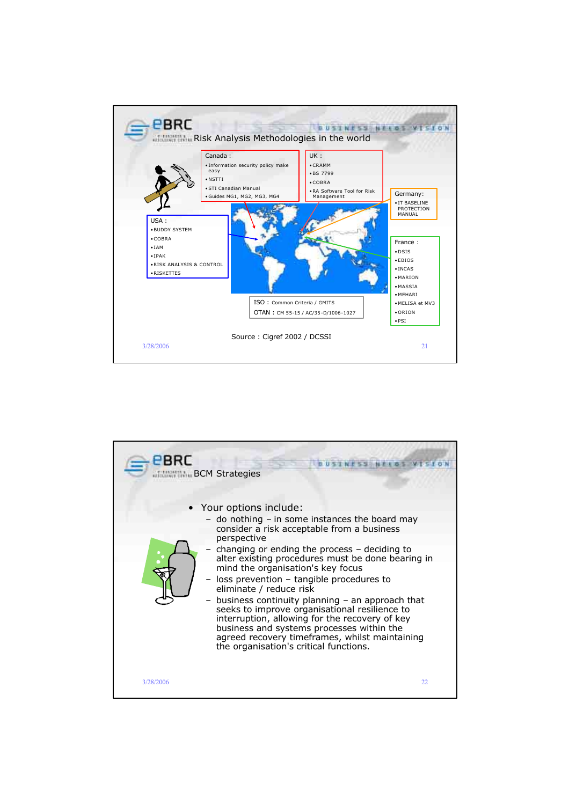

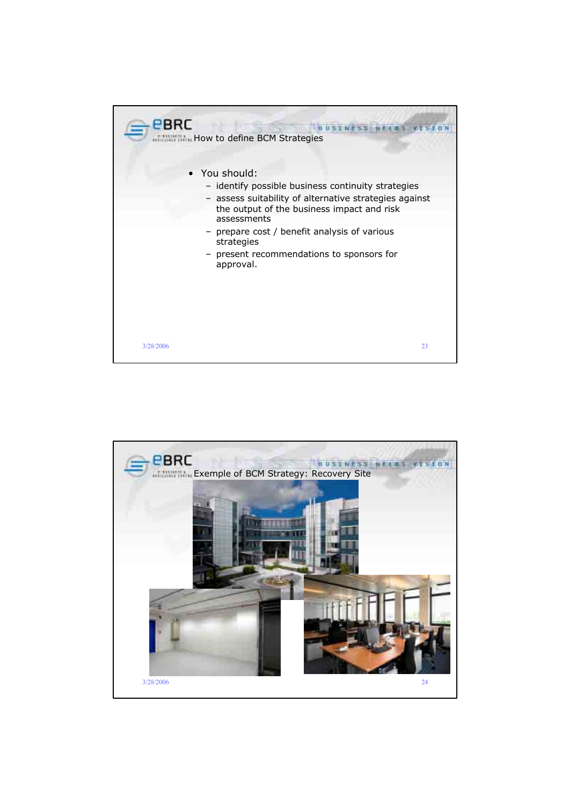

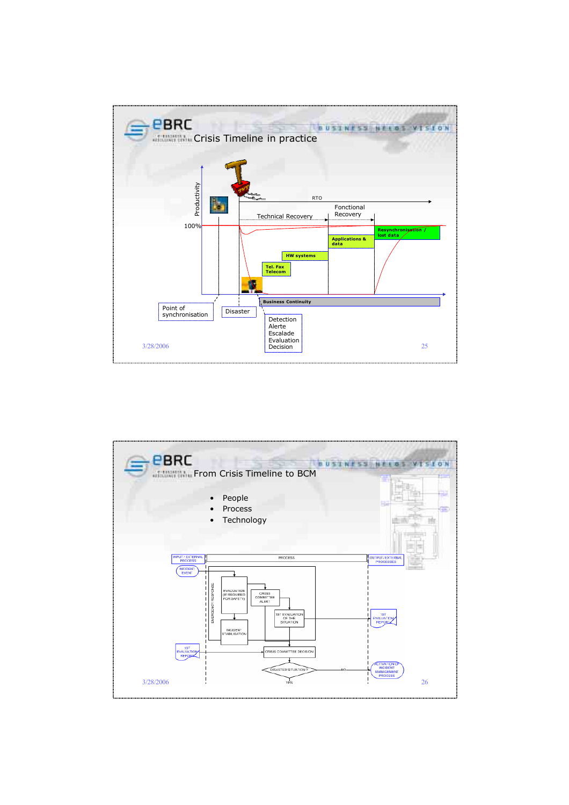

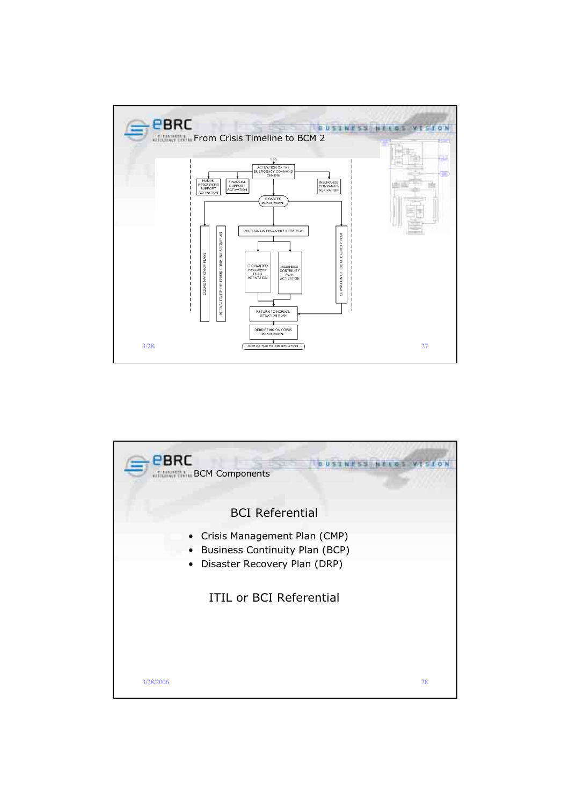

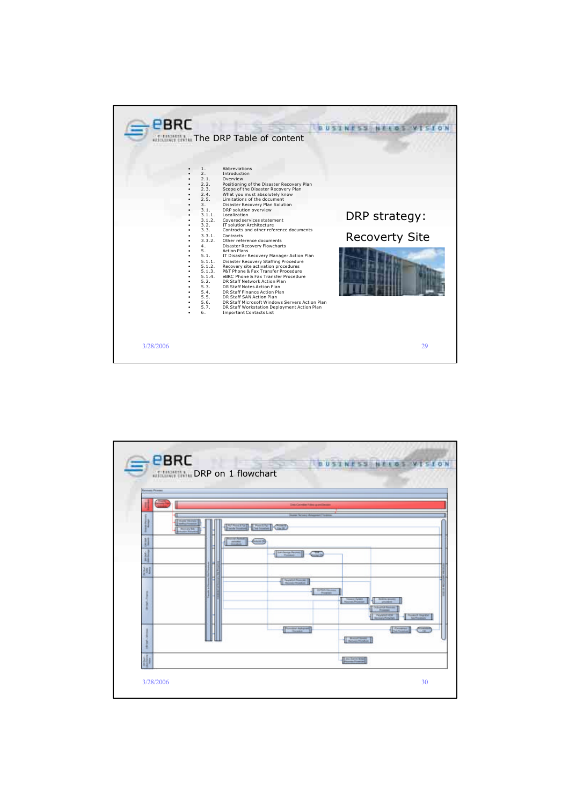| <b>EBRC</b><br>The DRP Table of content                                                                                                                                                                                                                                                                                                                                        |                                                                                                                                                                                                                                                                                                                                                                                                                                                                                                                                                                                                                                                                                                                                                                                                                                                                             |
|--------------------------------------------------------------------------------------------------------------------------------------------------------------------------------------------------------------------------------------------------------------------------------------------------------------------------------------------------------------------------------|-----------------------------------------------------------------------------------------------------------------------------------------------------------------------------------------------------------------------------------------------------------------------------------------------------------------------------------------------------------------------------------------------------------------------------------------------------------------------------------------------------------------------------------------------------------------------------------------------------------------------------------------------------------------------------------------------------------------------------------------------------------------------------------------------------------------------------------------------------------------------------|
| Abbreviations<br>1.<br>2.<br>Introduction<br>2.1.<br>Overview<br>2.2.<br>2.3.<br>2.4.<br>2.5.<br>3 <sub>1</sub><br>3.1.<br>DRP solution overview<br>3.1.1.<br>Localization<br>3.1.2.<br>3.2.<br>3.3.<br>3.3.1.<br>Contracts<br>3.3.2.<br>4.<br>5.<br><b>Action Plans</b><br>5.1.<br>5.1.1.<br>5.1.2.<br>5.1.3.<br>5.1.4.<br>5.2.<br>5.3.<br>5.4.<br>5.5.<br>5.6.<br>5.7.<br>6. | Positioning of the Disaster Recovery Plan<br>Scope of the Disaster Recovery Plan<br>What you must absolutely know<br>Limitations of the document<br>Disaster Recovery Plan Solution<br>DRP strategy:<br>Covered services statement<br><b>IT solution Architecture</b><br>Contracts and other reference documents<br><b>Recoverty Site</b><br>Other reference documents<br>Disaster Recovery Flowcharts<br>IT Disaster Recovery Manager Action Plan<br>Disaster Recovery Staffing Procedure<br>Recovery site activation procedures<br>P&T Phone & Fax Transfer Procedure<br>eBRC Phone & Fax Transfer Procedure<br>DR Staff Network Action Plan<br>DR Staff Notes Action Plan<br>DR Staff Finance Action Plan<br>DR Staff SAN Action Plan<br>DR Staff Microsoft Windows Servers Action Plan<br>DR Staff Workstation Deployment Action Plan<br><b>Important Contacts List</b> |
| 3/28/2006                                                                                                                                                                                                                                                                                                                                                                      | 29                                                                                                                                                                                                                                                                                                                                                                                                                                                                                                                                                                                                                                                                                                                                                                                                                                                                          |

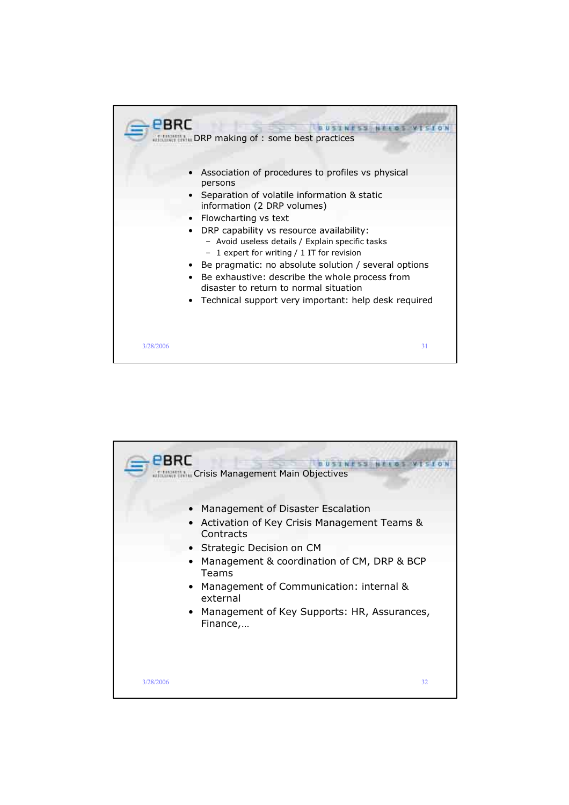

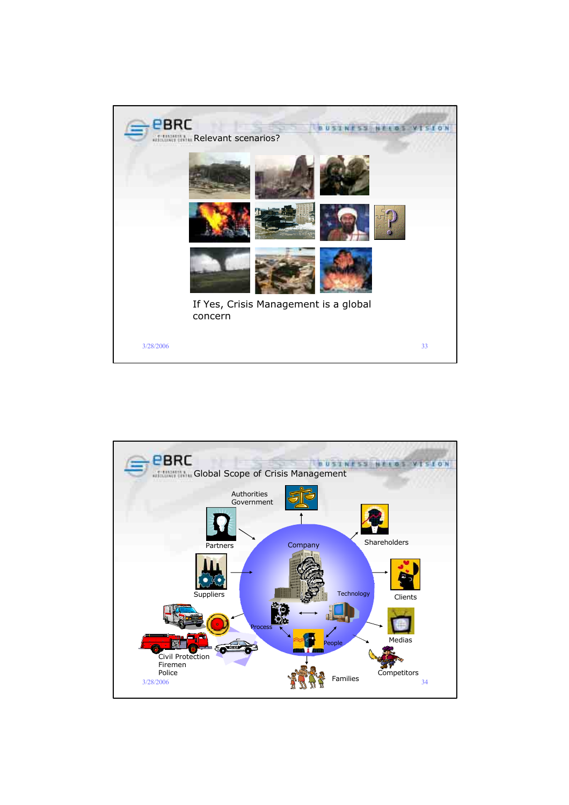

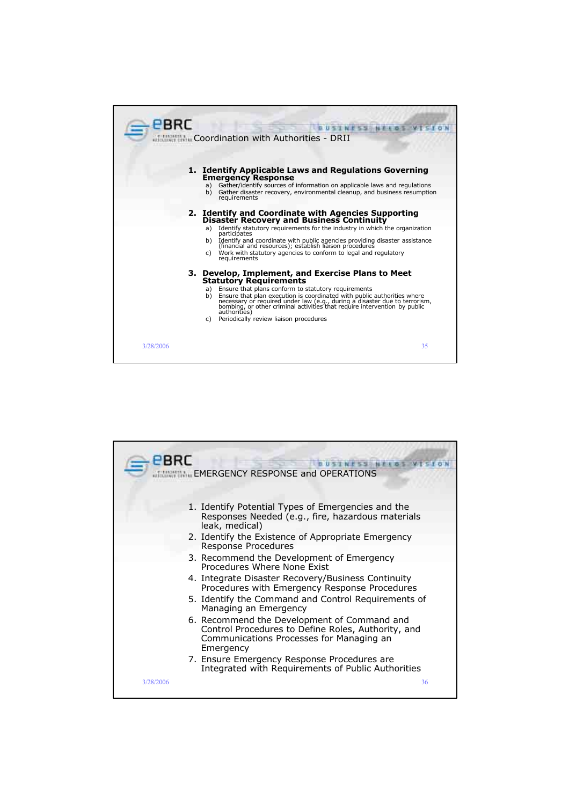

|           | <b>WILL EMERGENCY RESPONSE and OPERATIONS</b>                                                                                                              |
|-----------|------------------------------------------------------------------------------------------------------------------------------------------------------------|
|           | 1. Identify Potential Types of Emergencies and the<br>Responses Needed (e.g., fire, hazardous materials                                                    |
|           | leak, medical)                                                                                                                                             |
|           | 2. Identify the Existence of Appropriate Emergency<br>Response Procedures                                                                                  |
|           | 3. Recommend the Development of Emergency<br>Procedures Where None Exist                                                                                   |
|           | 4. Integrate Disaster Recovery/Business Continuity<br>Procedures with Emergency Response Procedures                                                        |
|           | 5. Identify the Command and Control Requirements of<br>Managing an Emergency                                                                               |
|           | 6. Recommend the Development of Command and<br>Control Procedures to Define Roles, Authority, and<br>Communications Processes for Managing an<br>Emergency |
|           | 7. Ensure Emergency Response Procedures are<br>Integrated with Requirements of Public Authorities                                                          |
| 3/28/2006 | 36                                                                                                                                                         |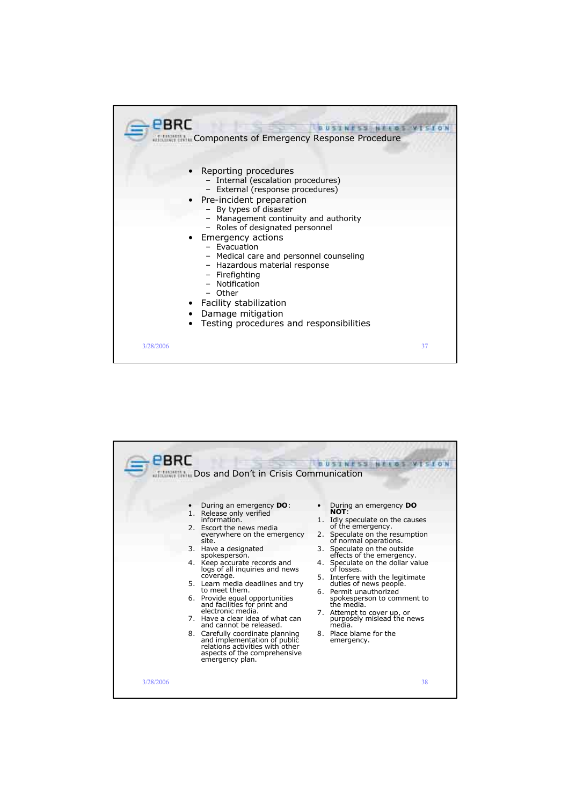

| <b>EBRC</b> | Dos and Don't in Crisis Communication<br>During an emergency <b>DO</b> :<br>1. Release only verified<br>information.<br>2. Escort the news media<br>everywhere on the emergency<br>site.<br>3. Have a designated<br>spokesperson.<br>4. Keep accurate records and<br>logs of all inquiries and news<br>coverage.<br>5. Learn media deadlines and try<br>to meet them.<br>6. Provide equal opportunities<br>and facilities for print and<br>electronic media.<br>7. Have a clear idea of what can<br>and cannot be released.<br>8. Carefully coordinate planning<br>and implementation of public<br>relations activities with other<br>aspects of the comprehensive<br>emergency plan. | During an emergency <b>DO</b><br>NOT:<br>1. Idly speculate on the causes<br>of the emergency.<br>Speculate on the resumption<br>2.<br>of normal operations.<br>Speculate on the outside<br>3.<br>effects of the emergency.<br>4. Speculate on the dollar value<br>of losses.<br>5. Interfere with the legitimate<br>duties of news people.<br>6. Permit unauthorized<br>spokesperson to comment to<br>the media.<br>7. Attempt to cover up, or<br>purposely mislead the news<br>media.<br>8. Place blame for the<br>emergency. |
|-------------|---------------------------------------------------------------------------------------------------------------------------------------------------------------------------------------------------------------------------------------------------------------------------------------------------------------------------------------------------------------------------------------------------------------------------------------------------------------------------------------------------------------------------------------------------------------------------------------------------------------------------------------------------------------------------------------|--------------------------------------------------------------------------------------------------------------------------------------------------------------------------------------------------------------------------------------------------------------------------------------------------------------------------------------------------------------------------------------------------------------------------------------------------------------------------------------------------------------------------------|
| 3/28/2006   |                                                                                                                                                                                                                                                                                                                                                                                                                                                                                                                                                                                                                                                                                       | 38                                                                                                                                                                                                                                                                                                                                                                                                                                                                                                                             |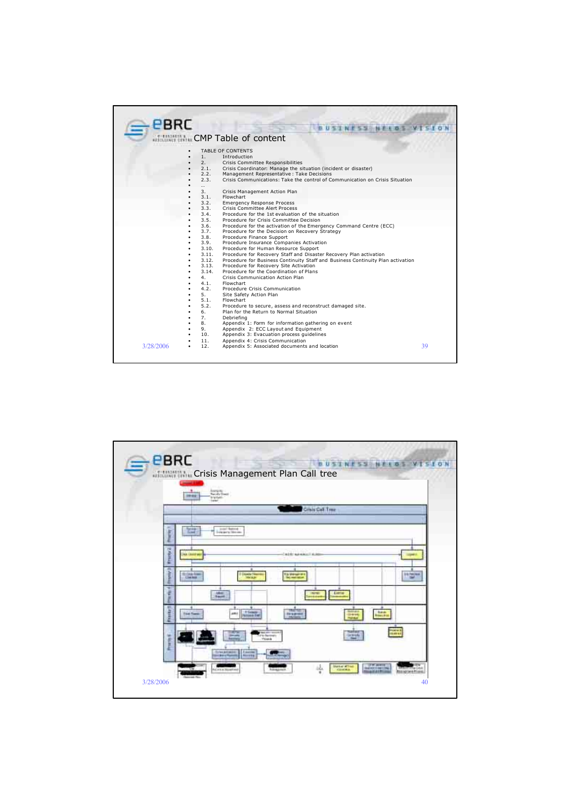| <b>EBRC</b>      |                                                                                     |    |
|------------------|-------------------------------------------------------------------------------------|----|
|                  |                                                                                     |    |
|                  | <b>CMP</b> Table of content                                                         |    |
|                  | TABLE OF CONTENTS                                                                   |    |
| 1.               | Introduction                                                                        |    |
| 2.               | Crisis Committee Responsibilities                                                   |    |
| 2.1.             | Crisis Coordinator: Manage the situation (incident or disaster)                     |    |
| 2.2.             | Management Representative : Take Decisions                                          |    |
| 2.3.             | Crisis Communications: Take the control of Communication on Crisis Situation        |    |
| $\cdots$         |                                                                                     |    |
| 3.               | Crisis Management Action Plan                                                       |    |
| 3.1.             | Flowchart                                                                           |    |
| 3.2.             | <b>Emergency Response Process</b>                                                   |    |
| 3.3.<br>3.4.     | Crisis Committee Alert Process<br>Procedure for the 1st evaluation of the situation |    |
| 3.5.             | Procedure for Crisis Committee Decision                                             |    |
| 3.6.             | Procedure for the activation of the Emergency Command Centre (ECC)                  |    |
| 3.7.             | Procedure for the Decision on Recovery Strategy                                     |    |
| 3.8.             | Procedure Finance Support                                                           |    |
| 3.9.             | Procedure Insurance Companies Activation                                            |    |
| 3.10.            | Procedure for Human Resource Support                                                |    |
| 3.11.            | Procedure for Recovery Staff and Disaster Recovery Plan activation                  |    |
| 3.12.            | Procedure for Business Continuity Staff and Business Continuity Plan activation     |    |
| 3.13.            | Procedure for Recovery Site Activation                                              |    |
| 3.14.            | Procedure for the Coordination of Plans                                             |    |
| 4.               | Crisis Communication Action Plan                                                    |    |
| 4.1.             | Flowchart                                                                           |    |
| 4.2.             | Procedure Crisis Communication                                                      |    |
| 5.               | Site Safety Action Plan                                                             |    |
| 5.1.             | Flowchart                                                                           |    |
| 5.2.             | Procedure to secure, assess and reconstruct damaged site.                           |    |
| 6.               | Plan for the Return to Normal Situation                                             |    |
| 7.               | Debriefing                                                                          |    |
| 8.               | Appendix 1: Form for information gathering on event                                 |    |
| 9.               | Appendix 2: ECC Layout and Equipment                                                |    |
| 10.              | Appendix 3: Evacuation process quidelines                                           |    |
| 11.              | Appendix 4: Crisis Communication                                                    |    |
| 3/28/2006<br>12. | Appendix 5: Associated documents and location                                       | 39 |
|                  |                                                                                     |    |

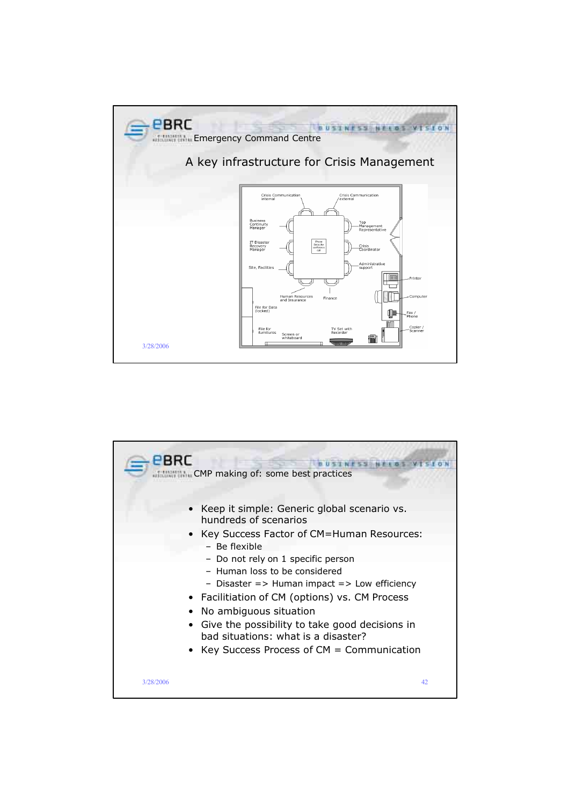

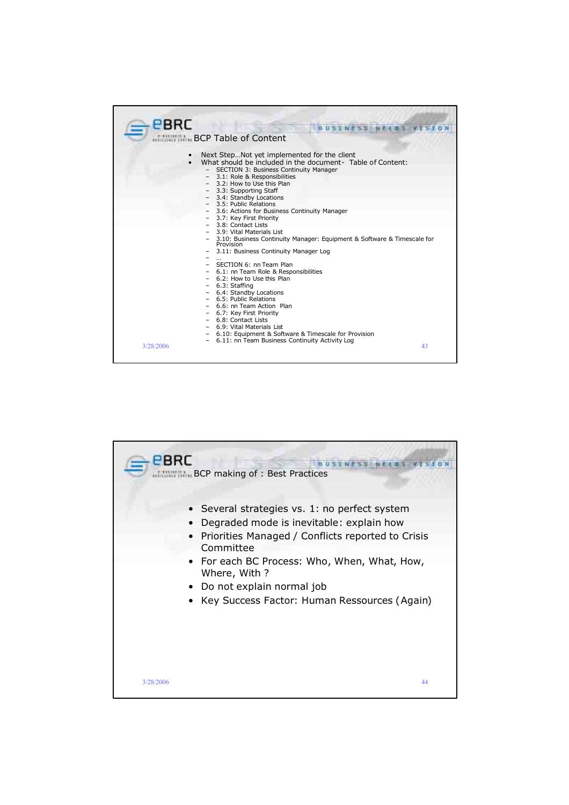| <b>EBRC</b> |                                                                                                                                                                                                                                                                                                                                                                                                                                                                                                                                                                                                                                                                                                                        |
|-------------|------------------------------------------------------------------------------------------------------------------------------------------------------------------------------------------------------------------------------------------------------------------------------------------------------------------------------------------------------------------------------------------------------------------------------------------------------------------------------------------------------------------------------------------------------------------------------------------------------------------------------------------------------------------------------------------------------------------------|
|             |                                                                                                                                                                                                                                                                                                                                                                                                                                                                                                                                                                                                                                                                                                                        |
|             | <b>BCP Table of Content</b>                                                                                                                                                                                                                                                                                                                                                                                                                                                                                                                                                                                                                                                                                            |
|             | Next StepNot yet implemented for the client<br>What should be included in the document- Table of Content:<br>- SECTION 3: Business Continuity Manager<br>3.1: Role & Responsibilities<br>3.2: How to Use this Plan<br>3.3: Supporting Staff<br>- 3.4: Standby Locations<br>3.5: Public Relations<br>3.6: Actions for Business Continuity Manager<br>3.7: Key First Priority<br>3.8: Contact Lists<br>3.9: Vital Materials List<br>- 3.10: Business Continuity Manager: Equipment & Software & Timescale for<br>Provision<br>3.11: Business Continuity Manager Log<br>- SECTION 6: nn Team Plan<br>- 6.1: nn Team Role & Responsibilities<br>- 6.2: How to Use this Plan<br>- 6.3: Staffing<br>- 6.4: Standby Locations |
|             | 6.5: Public Relations<br>6.6: nn Team Action Plan                                                                                                                                                                                                                                                                                                                                                                                                                                                                                                                                                                                                                                                                      |
|             | - 6.7: Key First Priority<br>6.8: Contact Lists                                                                                                                                                                                                                                                                                                                                                                                                                                                                                                                                                                                                                                                                        |
|             | 6.9: Vital Materials List                                                                                                                                                                                                                                                                                                                                                                                                                                                                                                                                                                                                                                                                                              |
|             | 6.10: Equipment & Software & Timescale for Provision                                                                                                                                                                                                                                                                                                                                                                                                                                                                                                                                                                                                                                                                   |
| 3/28/2006   | 6.11: nn Team Business Continuity Activity Log<br>43                                                                                                                                                                                                                                                                                                                                                                                                                                                                                                                                                                                                                                                                   |

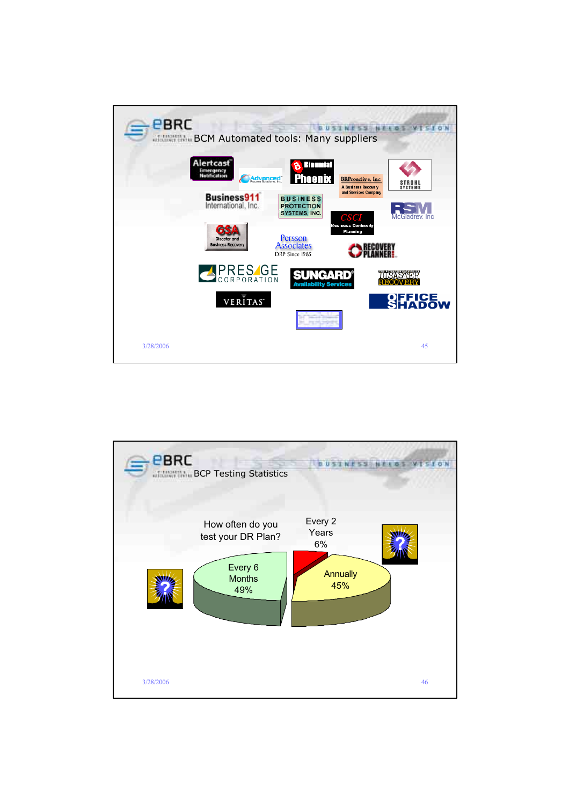

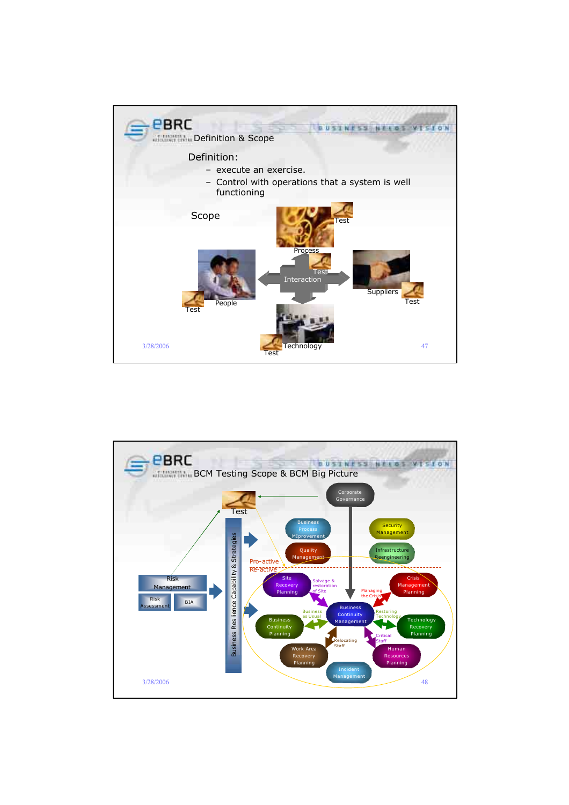

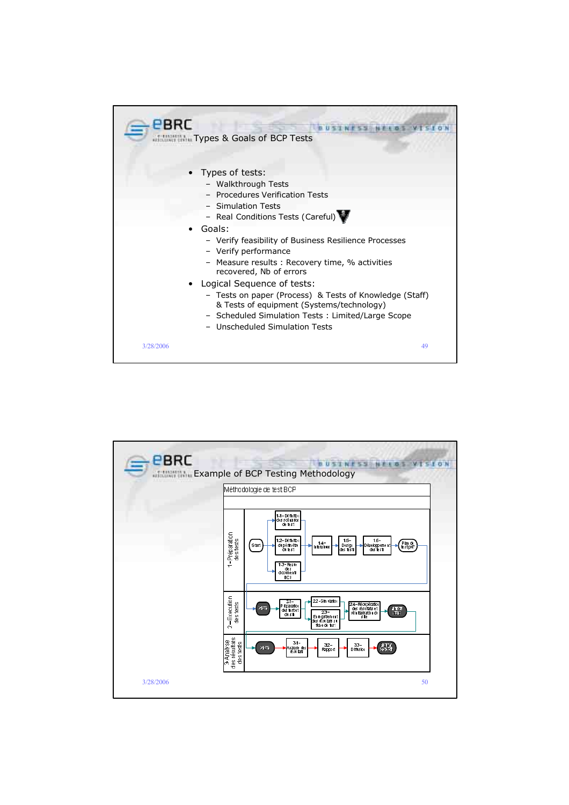| PBRC<br><b>ITALIAN Types &amp; Goals of BCP Tests</b>                                                                                                                                                                     |
|---------------------------------------------------------------------------------------------------------------------------------------------------------------------------------------------------------------------------|
| • Types of tests:<br>- Walkthrough Tests<br>- Procedures Verification Tests<br>- Simulation Tests                                                                                                                         |
| - Real Conditions Tests (Careful)<br>Goals:<br>- Verify feasibility of Business Resilience Processes<br>- Verify performance<br>- Measure results: Recovery time, % activities<br>recovered, Nb of errors                 |
| Logical Sequence of tests:<br>- Tests on paper (Process) & Tests of Knowledge (Staff)<br>& Tests of equipment (Systems/technology)<br>- Scheduled Simulation Tests: Limited/Large Scope<br>- Unscheduled Simulation Tests |
| 3/28/2006<br>49                                                                                                                                                                                                           |

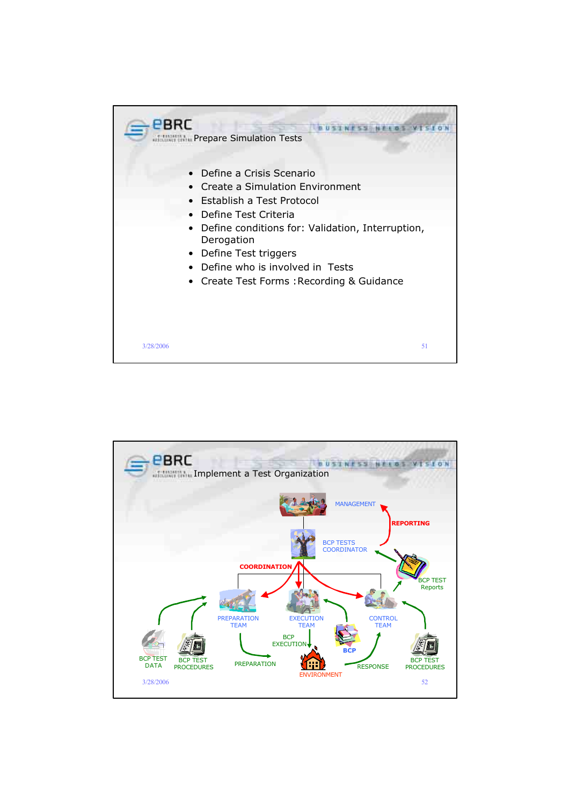

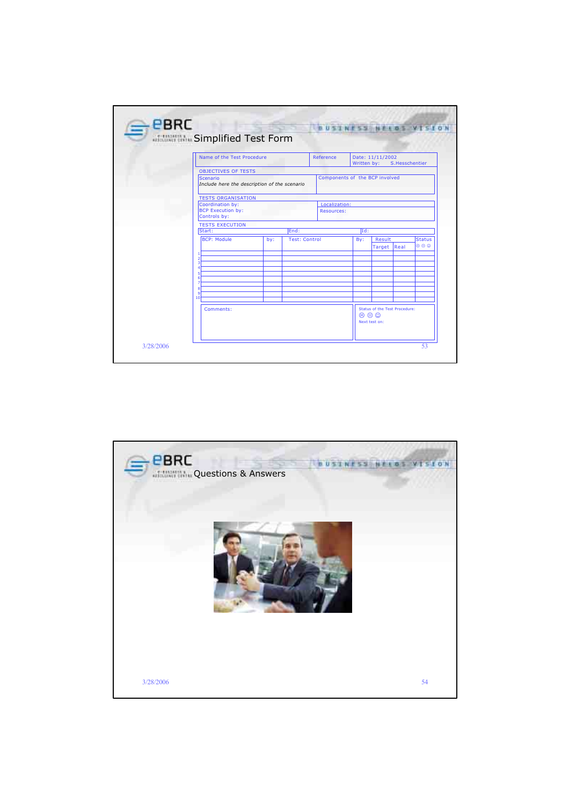|                                                                                               | Name of the Test Procedure  |      |                                    | Date: 11/11/2002<br>Written by: S.Hesschentier |                               |      |               |  |  |
|-----------------------------------------------------------------------------------------------|-----------------------------|------|------------------------------------|------------------------------------------------|-------------------------------|------|---------------|--|--|
| <b>OBJECTIVES OF TESTS</b><br><b>Scenario</b><br>Include here the description of the scenario |                             |      | Components of the BCP involved     |                                                |                               |      |               |  |  |
| <b>TESTS ORGANISATION</b>                                                                     |                             |      |                                    |                                                |                               |      |               |  |  |
| Coordination by:<br><b>BCP Execution by:</b><br>Controls by:                                  |                             |      | Localization:<br><b>Resources:</b> |                                                |                               |      |               |  |  |
| <b>TESTS EXECUTION</b>                                                                        |                             |      |                                    |                                                |                               |      |               |  |  |
| Start:                                                                                        |                             | End: |                                    | Id:                                            |                               |      |               |  |  |
| <b>BCP: Module</b>                                                                            | <b>Test: Control</b><br>by: |      |                                    | By:                                            | Result                        |      | <b>Status</b> |  |  |
|                                                                                               |                             |      |                                    |                                                | Target                        | Real | 800           |  |  |
| 2                                                                                             |                             |      |                                    |                                                |                               |      |               |  |  |
| ٩                                                                                             |                             |      |                                    |                                                |                               |      |               |  |  |
| 6                                                                                             |                             |      |                                    |                                                |                               |      |               |  |  |
|                                                                                               |                             |      |                                    |                                                |                               |      |               |  |  |
| я<br>۹                                                                                        |                             |      |                                    |                                                |                               |      |               |  |  |
| 10                                                                                            |                             |      |                                    |                                                |                               |      |               |  |  |
| Comments:                                                                                     |                             |      |                                    |                                                | Status of the Test Procedure: |      |               |  |  |
|                                                                                               |                             |      |                                    |                                                | $\circledcirc$                |      |               |  |  |